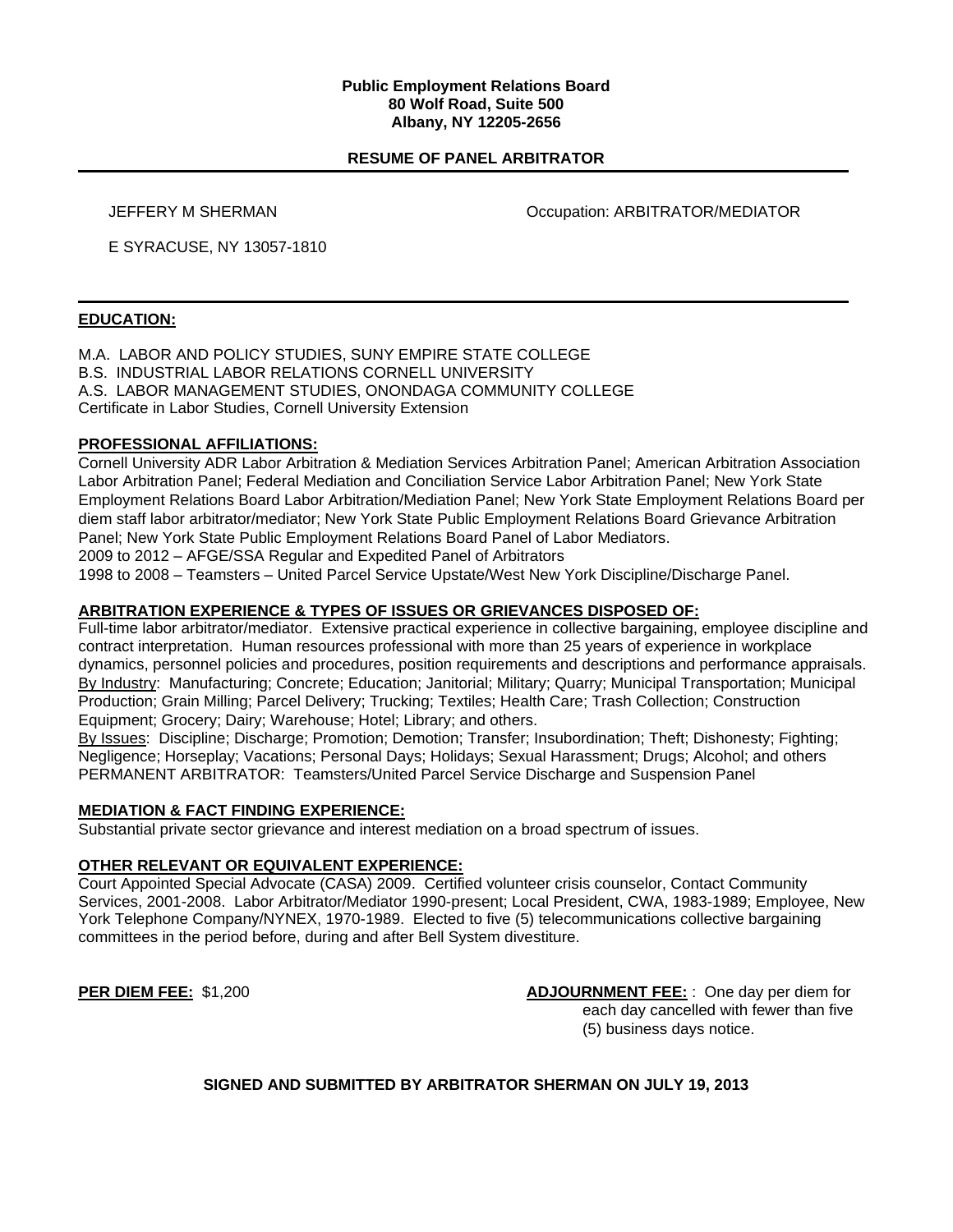#### **Public Employment Relations Board 80 Wolf Road, Suite 500 Albany, NY 12205-2656**

## **RESUME OF PANEL ARBITRATOR**

JEFFERY M SHERMAN Occupation: ARBITRATOR/MEDIATOR

E SYRACUSE, NY 13057-1810

## **EDUCATION:**

M.A. LABOR AND POLICY STUDIES, SUNY EMPIRE STATE COLLEGE B.S. INDUSTRIAL LABOR RELATIONS CORNELL UNIVERSITY A.S. LABOR MANAGEMENT STUDIES, ONONDAGA COMMUNITY COLLEGE Certificate in Labor Studies, Cornell University Extension

## **PROFESSIONAL AFFILIATIONS:**

Cornell University ADR Labor Arbitration & Mediation Services Arbitration Panel; American Arbitration Association Labor Arbitration Panel; Federal Mediation and Conciliation Service Labor Arbitration Panel; New York State Employment Relations Board Labor Arbitration/Mediation Panel; New York State Employment Relations Board per diem staff labor arbitrator/mediator; New York State Public Employment Relations Board Grievance Arbitration Panel; New York State Public Employment Relations Board Panel of Labor Mediators. 2009 to 2012 – AFGE/SSA Regular and Expedited Panel of Arbitrators

1998 to 2008 – Teamsters – United Parcel Service Upstate/West New York Discipline/Discharge Panel.

# **ARBITRATION EXPERIENCE & TYPES OF ISSUES OR GRIEVANCES DISPOSED OF:**

Full-time labor arbitrator/mediator. Extensive practical experience in collective bargaining, employee discipline and contract interpretation. Human resources professional with more than 25 years of experience in workplace dynamics, personnel policies and procedures, position requirements and descriptions and performance appraisals. By Industry: Manufacturing; Concrete; Education; Janitorial; Military; Quarry; Municipal Transportation; Municipal Production; Grain Milling; Parcel Delivery; Trucking; Textiles; Health Care; Trash Collection; Construction Equipment; Grocery; Dairy; Warehouse; Hotel; Library; and others.

By Issues: Discipline; Discharge; Promotion; Demotion; Transfer; Insubordination; Theft; Dishonesty; Fighting; Negligence; Horseplay; Vacations; Personal Days; Holidays; Sexual Harassment; Drugs; Alcohol; and others PERMANENT ARBITRATOR: Teamsters/United Parcel Service Discharge and Suspension Panel

## **MEDIATION & FACT FINDING EXPERIENCE:**

Substantial private sector grievance and interest mediation on a broad spectrum of issues.

## **OTHER RELEVANT OR EQUIVALENT EXPERIENCE:**

Court Appointed Special Advocate (CASA) 2009. Certified volunteer crisis counselor, Contact Community Services, 2001-2008. Labor Arbitrator/Mediator 1990-present; Local President, CWA, 1983-1989; Employee, New York Telephone Company/NYNEX, 1970-1989. Elected to five (5) telecommunications collective bargaining committees in the period before, during and after Bell System divestiture.

**PER DIEM FEE:** \$1,200 **ADJOURNMENT FEE:** : One day per diem for each day cancelled with fewer than five (5) business days notice.

## **SIGNED AND SUBMITTED BY ARBITRATOR SHERMAN ON JULY 19, 2013**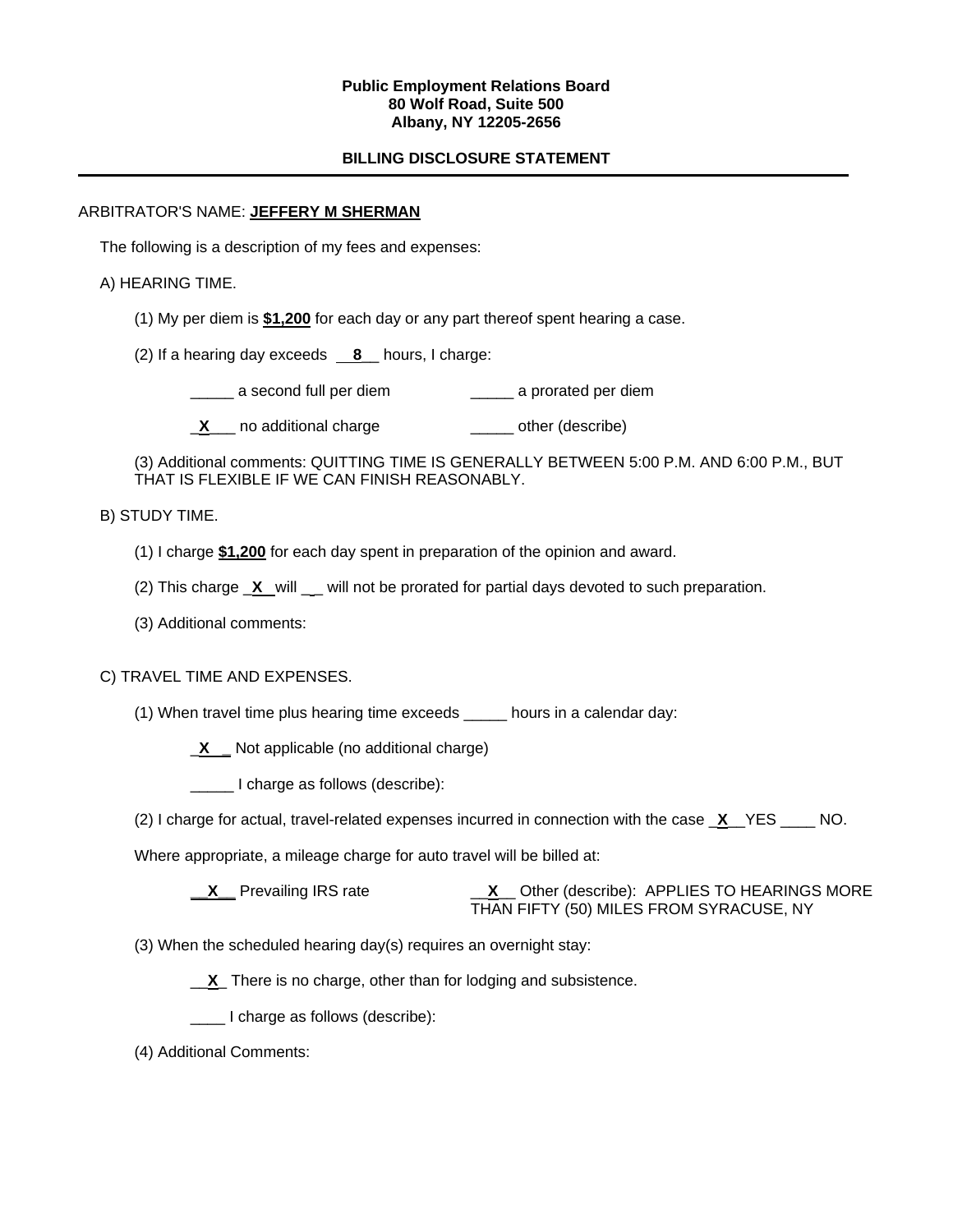### **Public Employment Relations Board 80 Wolf Road, Suite 500 Albany, NY 12205-2656**

## **BILLING DISCLOSURE STATEMENT**

## ARBITRATOR'S NAME: **JEFFERY M SHERMAN**

The following is a description of my fees and expenses:

## A) HEARING TIME.

- (1) My per diem is **\$1,200** for each day or any part thereof spent hearing a case.
- (2) If a hearing day exceeds **8**\_\_ hours, I charge:
	- \_\_\_\_\_ a second full per diem \_\_\_\_\_ a prorated per diem
	- **X** no additional charge **William** other (describe)

(3) Additional comments: QUITTING TIME IS GENERALLY BETWEEN 5:00 P.M. AND 6:00 P.M., BUT THAT IS FLEXIBLE IF WE CAN FINISH REASONABLY.

## B) STUDY TIME.

- (1) I charge **\$1,200** for each day spent in preparation of the opinion and award.
- (2) This charge  $\chi$  will will not be prorated for partial days devoted to such preparation.
- (3) Additional comments:

## C) TRAVEL TIME AND EXPENSES.

(1) When travel time plus hearing time exceeds \_\_\_\_\_ hours in a calendar day:

\_**X \_** Not applicable (no additional charge)

\_\_\_\_\_ I charge as follows (describe):

(2) I charge for actual, travel-related expenses incurred in connection with the case \_**X**\_\_YES \_\_\_\_ NO.

Where appropriate, a mileage charge for auto travel will be billed at:

- **\_\_X\_\_** Prevailing IRS rate \_\_**X**\_\_ Other (describe): APPLIES TO HEARINGS MORE THAN FIFTY (50) MILES FROM SYRACUSE, NY
- (3) When the scheduled hearing day(s) requires an overnight stay:

\_\_**X**\_ There is no charge, other than for lodging and subsistence.

\_\_\_\_ I charge as follows (describe):

(4) Additional Comments: